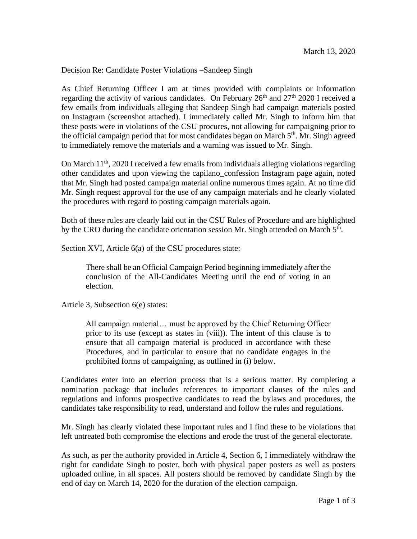Decision Re: Candidate Poster Violations –Sandeep Singh

As Chief Returning Officer I am at times provided with complaints or information regarding the activity of various candidates. On February  $26<sup>th</sup>$  and  $27<sup>th</sup>$  2020 I received a few emails from individuals alleging that Sandeep Singh had campaign materials posted on Instagram (screenshot attached). I immediately called Mr. Singh to inform him that these posts were in violations of the CSU procures, not allowing for campaigning prior to the official campaign period that for most candidates began on March  $5<sup>th</sup>$ . Mr. Singh agreed to immediately remove the materials and a warning was issued to Mr. Singh.

On March 11<sup>th</sup>, 2020 I received a few emails from individuals alleging violations regarding other candidates and upon viewing the capilano\_confession Instagram page again, noted that Mr. Singh had posted campaign material online numerous times again. At no time did Mr. Singh request approval for the use of any campaign materials and he clearly violated the procedures with regard to posting campaign materials again.

Both of these rules are clearly laid out in the CSU Rules of Procedure and are highlighted by the CRO during the candidate orientation session Mr. Singh attended on March  $5<sup>th</sup>$ .

Section XVI, Article 6(a) of the CSU procedures state:

There shall be an Official Campaign Period beginning immediately after the conclusion of the All-Candidates Meeting until the end of voting in an election.

Article 3, Subsection 6(e) states:

All campaign material… must be approved by the Chief Returning Officer prior to its use (except as states in (viii)). The intent of this clause is to ensure that all campaign material is produced in accordance with these Procedures, and in particular to ensure that no candidate engages in the prohibited forms of campaigning, as outlined in (i) below.

Candidates enter into an election process that is a serious matter. By completing a nomination package that includes references to important clauses of the rules and regulations and informs prospective candidates to read the bylaws and procedures, the candidates take responsibility to read, understand and follow the rules and regulations.

Mr. Singh has clearly violated these important rules and I find these to be violations that left untreated both compromise the elections and erode the trust of the general electorate.

As such, as per the authority provided in Article 4, Section 6, I immediately withdraw the right for candidate Singh to poster, both with physical paper posters as well as posters uploaded online, in all spaces. All posters should be removed by candidate Singh by the end of day on March 14, 2020 for the duration of the election campaign.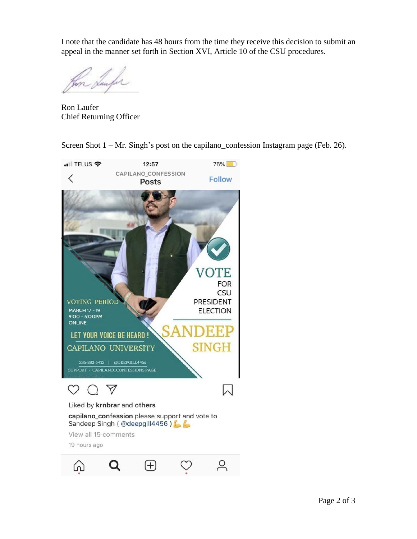I note that the candidate has 48 hours from the time they receive this decision to submit an appeal in the manner set forth in Section XVI, Article 10 of the CSU procedures.

 $\sqrt{2}$ 

Ron Laufer Chief Returning Officer

Screen Shot 1 – Mr. Singh's post on the capilano\_confession Instagram page (Feb. 26).